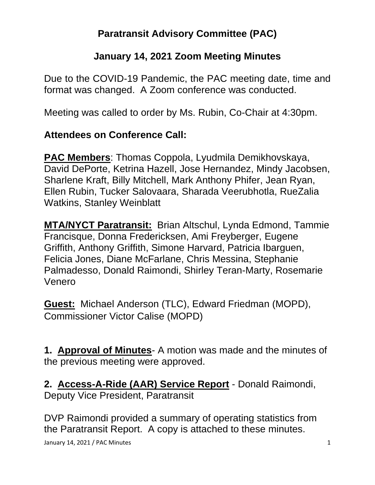## **Paratransit Advisory Committee (PAC)**

#### **January 14, 2021 Zoom Meeting Minutes**

Due to the COVID-19 Pandemic, the PAC meeting date, time and format was changed. A Zoom conference was conducted.

Meeting was called to order by Ms. Rubin, Co-Chair at 4:30pm.

#### **Attendees on Conference Call:**

**PAC Members**: Thomas Coppola, Lyudmila Demikhovskaya, David DePorte, Ketrina Hazell, Jose Hernandez, Mindy Jacobsen, Sharlene Kraft, Billy Mitchell, Mark Anthony Phifer, Jean Ryan, Ellen Rubin, Tucker Salovaara, Sharada Veerubhotla, RueZalia Watkins, Stanley Weinblatt

**MTA/NYCT Paratransit:** Brian Altschul, Lynda Edmond, Tammie Francisque, Donna Fredericksen, Ami Freyberger, Eugene Griffith, Anthony Griffith, Simone Harvard, Patricia Ibarguen, Felicia Jones, Diane McFarlane, Chris Messina, Stephanie Palmadesso, Donald Raimondi, Shirley Teran-Marty, Rosemarie Venero

**Guest:** Michael Anderson (TLC), Edward Friedman (MOPD), Commissioner Victor Calise (MOPD)

**1. Approval of Minutes**- A motion was made and the minutes of the previous meeting were approved.

**2. Access-A-Ride (AAR) Service Report** - Donald Raimondi, Deputy Vice President, Paratransit

DVP Raimondi provided a summary of operating statistics from the Paratransit Report. A copy is attached to these minutes.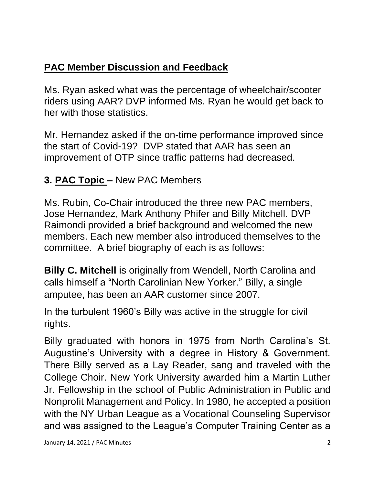# **PAC Member Discussion and Feedback**

Ms. Ryan asked what was the percentage of wheelchair/scooter riders using AAR? DVP informed Ms. Ryan he would get back to her with those statistics.

Mr. Hernandez asked if the on-time performance improved since the start of Covid-19? DVP stated that AAR has seen an improvement of OTP since traffic patterns had decreased.

## **3. PAC Topic –** New PAC Members

Ms. Rubin, Co-Chair introduced the three new PAC members, Jose Hernandez, Mark Anthony Phifer and Billy Mitchell. DVP Raimondi provided a brief background and welcomed the new members. Each new member also introduced themselves to the committee. A brief biography of each is as follows:

**Billy C. Mitchell** is originally from Wendell, North Carolina and calls himself a "North Carolinian New Yorker." Billy, a single amputee, has been an AAR customer since 2007.

In the turbulent 1960's Billy was active in the struggle for civil rights.

Billy graduated with honors in 1975 from North Carolina's St. Augustine's University with a degree in History & Government. There Billy served as a Lay Reader, sang and traveled with the College Choir. New York University awarded him a Martin Luther Jr. Fellowship in the school of Public Administration in Public and Nonprofit Management and Policy. In 1980, he accepted a position with the NY Urban League as a Vocational Counseling Supervisor and was assigned to the League's Computer Training Center as a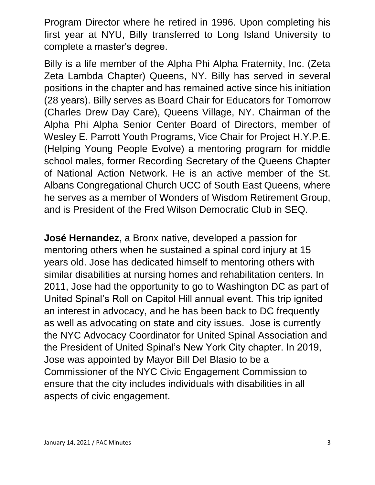Program Director where he retired in 1996. Upon completing his first year at NYU, Billy transferred to Long Island University to complete a master's degree.

Billy is a life member of the Alpha Phi Alpha Fraternity, Inc. (Zeta Zeta Lambda Chapter) Queens, NY. Billy has served in several positions in the chapter and has remained active since his initiation (28 years). Billy serves as Board Chair for Educators for Tomorrow (Charles Drew Day Care), Queens Village, NY. Chairman of the Alpha Phi Alpha Senior Center Board of Directors, member of Wesley E. Parrott Youth Programs, Vice Chair for Project H.Y.P.E. (Helping Young People Evolve) a mentoring program for middle school males, former Recording Secretary of the Queens Chapter of National Action Network. He is an active member of the St. Albans Congregational Church UCC of South East Queens, where he serves as a member of Wonders of Wisdom Retirement Group, and is President of the Fred Wilson Democratic Club in SEQ.

**José Hernandez**, a Bronx native, developed a passion for mentoring others when he sustained a spinal cord injury at 15 years old. Jose has dedicated himself to mentoring others with similar disabilities at nursing homes and rehabilitation centers. In 2011, Jose had the opportunity to go to Washington DC as part of United Spinal's Roll on Capitol Hill annual event. This trip ignited an interest in advocacy, and he has been back to DC frequently as well as advocating on state and city issues. Jose is currently the NYC Advocacy Coordinator for United Spinal Association and the President of United Spinal's New York City chapter. In 2019, Jose was appointed by Mayor Bill Del Blasio to be a Commissioner of the NYC Civic Engagement Commission to ensure that the city includes individuals with disabilities in all aspects of civic engagement.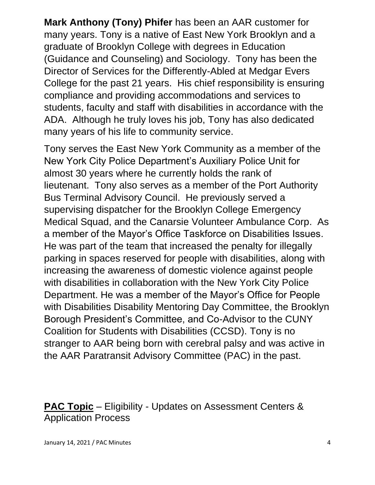**Mark Anthony (Tony) Phifer** has been an AAR customer for many years. Tony is a native of East New York Brooklyn and a graduate of Brooklyn College with degrees in Education (Guidance and Counseling) and Sociology. Tony has been the Director of Services for the Differently-Abled at Medgar Evers College for the past 21 years. His chief responsibility is ensuring compliance and providing accommodations and services to students, faculty and staff with disabilities in accordance with the ADA. Although he truly loves his job, Tony has also dedicated many years of his life to community service.

Tony serves the East New York Community as a member of the New York City Police Department's Auxiliary Police Unit for almost 30 years where he currently holds the rank of lieutenant. Tony also serves as a member of the Port Authority Bus Terminal Advisory Council. He previously served a supervising dispatcher for the Brooklyn College Emergency Medical Squad, and the Canarsie Volunteer Ambulance Corp. As a member of the Mayor's Office Taskforce on Disabilities Issues. He was part of the team that increased the penalty for illegally parking in spaces reserved for people with disabilities, along with increasing the awareness of domestic violence against people with disabilities in collaboration with the New York City Police Department. He was a member of the Mayor's Office for People with Disabilities Disability Mentoring Day Committee, the Brooklyn Borough President's Committee, and Co-Advisor to the CUNY Coalition for Students with Disabilities (CCSD). Tony is no stranger to AAR being born with cerebral palsy and was active in the AAR Paratransit Advisory Committee (PAC) in the past.

### **PAC Topic** – Eligibility - Updates on Assessment Centers & Application Process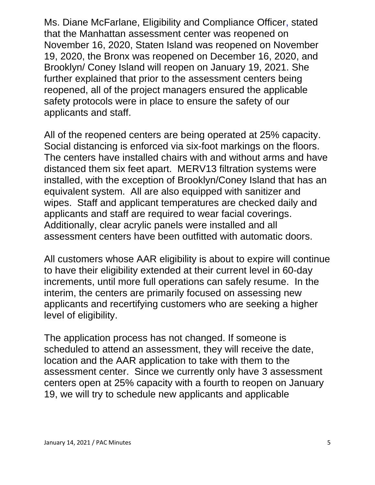Ms. Diane McFarlane, Eligibility and Compliance Officer, stated that the Manhattan assessment center was reopened on November 16, 2020, Staten Island was reopened on November 19, 2020, the Bronx was reopened on December 16, 2020, and Brooklyn/ Coney Island will reopen on January 19, 2021. She further explained that prior to the assessment centers being reopened, all of the project managers ensured the applicable safety protocols were in place to ensure the safety of our applicants and staff.

All of the reopened centers are being operated at 25% capacity. Social distancing is enforced via six-foot markings on the floors. The centers have installed chairs with and without arms and have distanced them six feet apart. MERV13 filtration systems were installed, with the exception of Brooklyn/Coney Island that has an equivalent system. All are also equipped with sanitizer and wipes. Staff and applicant temperatures are checked daily and applicants and staff are required to wear facial coverings. Additionally, clear acrylic panels were installed and all assessment centers have been outfitted with automatic doors.

All customers whose AAR eligibility is about to expire will continue to have their eligibility extended at their current level in 60-day increments, until more full operations can safely resume. In the interim, the centers are primarily focused on assessing new applicants and recertifying customers who are seeking a higher level of eligibility.

The application process has not changed. If someone is scheduled to attend an assessment, they will receive the date, location and the AAR application to take with them to the assessment center. Since we currently only have 3 assessment centers open at 25% capacity with a fourth to reopen on January 19, we will try to schedule new applicants and applicable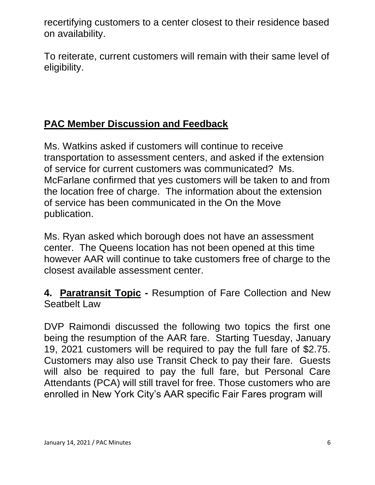recertifying customers to a center closest to their residence based on availability.

To reiterate, current customers will remain with their same level of eligibility.

## **PAC Member Discussion and Feedback**

Ms. Watkins asked if customers will continue to receive transportation to assessment centers, and asked if the extension of service for current customers was communicated? Ms. McFarlane confirmed that yes customers will be taken to and from the location free of charge. The information about the extension of service has been communicated in the On the Move publication.

Ms. Ryan asked which borough does not have an assessment center. The Queens location has not been opened at this time however AAR will continue to take customers free of charge to the closest available assessment center.

**4. Paratransit Topic -** Resumption of Fare Collection and New Seathelt Law

DVP Raimondi discussed the following two topics the first one being the resumption of the AAR fare. Starting Tuesday, January 19, 2021 customers will be required to pay the full fare of \$2.75. Customers may also use Transit Check to pay their fare. Guests will also be required to pay the full fare, but Personal Care Attendants (PCA) will still travel for free. Those customers who are enrolled in New York City's AAR specific Fair Fares program will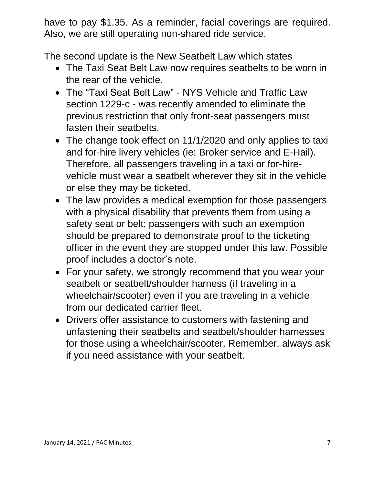have to pay \$1.35. As a reminder, facial coverings are required. Also, we are still operating non-shared ride service.

The second update is the New Seatbelt Law which states

- The Taxi Seat Belt Law now requires seatbelts to be worn in the rear of the vehicle.
- The "Taxi Seat Belt Law" NYS Vehicle and Traffic Law section 1229-c - was recently amended to eliminate the previous restriction that only front-seat passengers must fasten their seatbelts.
- The change took effect on 11/1/2020 and only applies to taxi and for-hire livery vehicles (ie: Broker service and E-Hail). Therefore, all passengers traveling in a taxi or for-hirevehicle must wear a seatbelt wherever they sit in the vehicle or else they may be ticketed.
- The law provides a medical exemption for those passengers with a physical disability that prevents them from using a safety seat or belt; passengers with such an exemption should be prepared to demonstrate proof to the ticketing officer in the event they are stopped under this law. Possible proof includes a doctor's note.
- For your safety, we strongly recommend that you wear your seatbelt or seatbelt/shoulder harness (if traveling in a wheelchair/scooter) even if you are traveling in a vehicle from our dedicated carrier fleet.
- Drivers offer assistance to customers with fastening and unfastening their seatbelts and seatbelt/shoulder harnesses for those using a wheelchair/scooter. Remember, always ask if you need assistance with your seatbelt.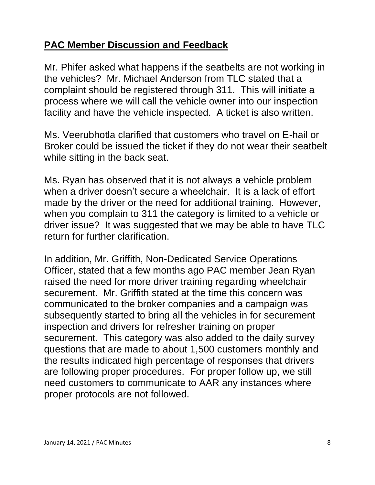### **PAC Member Discussion and Feedback**

Mr. Phifer asked what happens if the seatbelts are not working in the vehicles? Mr. Michael Anderson from TLC stated that a complaint should be registered through 311. This will initiate a process where we will call the vehicle owner into our inspection facility and have the vehicle inspected. A ticket is also written.

Ms. Veerubhotla clarified that customers who travel on E-hail or Broker could be issued the ticket if they do not wear their seatbelt while sitting in the back seat.

Ms. Ryan has observed that it is not always a vehicle problem when a driver doesn't secure a wheelchair. It is a lack of effort made by the driver or the need for additional training. However, when you complain to 311 the category is limited to a vehicle or driver issue? It was suggested that we may be able to have TLC return for further clarification.

In addition, Mr. Griffith, Non-Dedicated Service Operations Officer, stated that a few months ago PAC member Jean Ryan raised the need for more driver training regarding wheelchair securement. Mr. Griffith stated at the time this concern was communicated to the broker companies and a campaign was subsequently started to bring all the vehicles in for securement inspection and drivers for refresher training on proper securement. This category was also added to the daily survey questions that are made to about 1,500 customers monthly and the results indicated high percentage of responses that drivers are following proper procedures. For proper follow up, we still need customers to communicate to AAR any instances where proper protocols are not followed.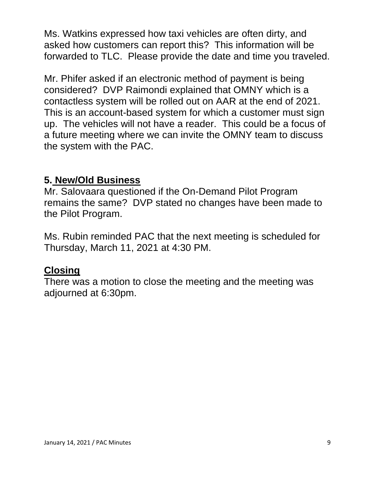Ms. Watkins expressed how taxi vehicles are often dirty, and asked how customers can report this? This information will be forwarded to TLC. Please provide the date and time you traveled.

Mr. Phifer asked if an electronic method of payment is being considered? DVP Raimondi explained that OMNY which is a contactless system will be rolled out on AAR at the end of 2021. This is an account-based system for which a customer must sign up. The vehicles will not have a reader. This could be a focus of a future meeting where we can invite the OMNY team to discuss the system with the PAC.

#### **5. New/Old Business**

Mr. Salovaara questioned if the On-Demand Pilot Program remains the same? DVP stated no changes have been made to the Pilot Program.

Ms. Rubin reminded PAC that the next meeting is scheduled for Thursday, March 11, 2021 at 4:30 PM.

#### **Closing**

There was a motion to close the meeting and the meeting was adjourned at 6:30pm.